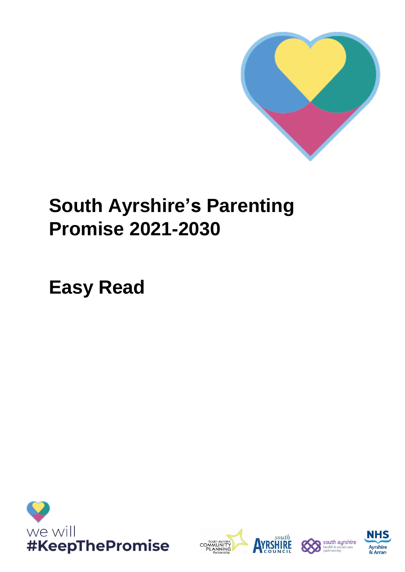

# **South Ayrshire's Parenting Promise 2021-2030**

**Easy Read**







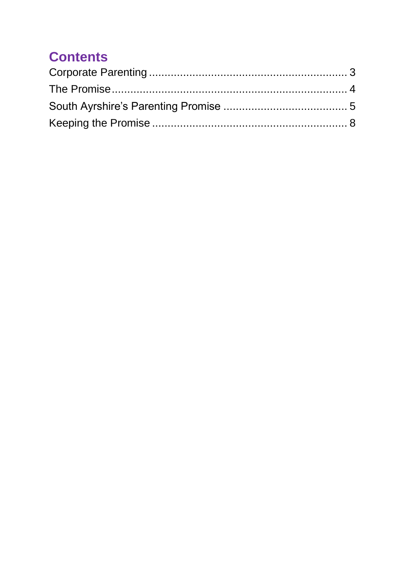### **Contents**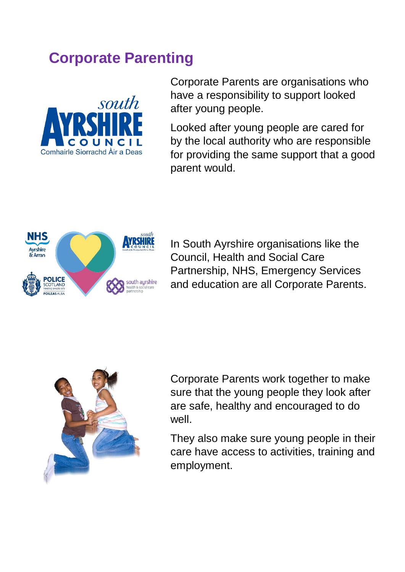### <span id="page-2-0"></span>**Corporate Parenting**



Corporate Parents are organisations who have a responsibility to support looked after young people.

Looked after young people are cared for by the local authority who are responsible for providing the same support that a good parent would.



In South Ayrshire organisations like the Council, Health and Social Care Partnership, NHS, Emergency Services and education are all Corporate Parents.



Corporate Parents work together to make sure that the young people they look after are safe, healthy and encouraged to do well.

They also make sure young people in their care have access to activities, training and employment.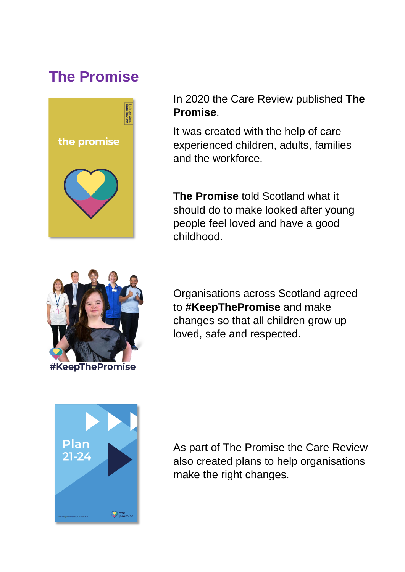### <span id="page-3-0"></span>**The Promise**



In 2020 the Care Review published **The Promise**.

It was created with the help of care experienced children, adults, families and the workforce.

**The Promise** told Scotland what it should do to make looked after young people feel loved and have a good childhood.



Organisations across Scotland agreed to **#KeepThePromise** and make changes so that all children grow up loved, safe and respected.



As part of The Promise the Care Review also created plans to help organisations make the right changes.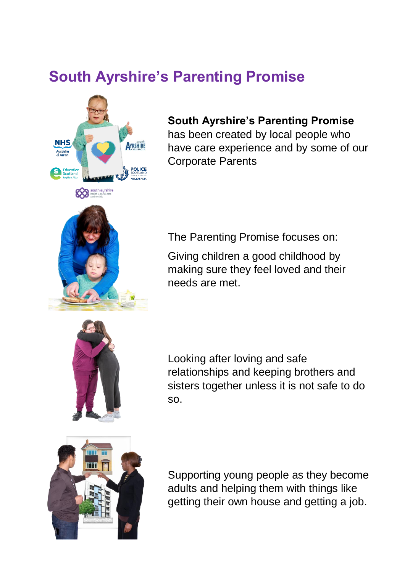## <span id="page-4-0"></span>**South Ayrshire's Parenting Promise**



#### **South Ayrshire's Parenting Promise**

has been created by local people who have care experience and by some of our Corporate Parents



The Parenting Promise focuses on:

Giving children a good childhood by making sure they feel loved and their needs are met.



Looking after loving and safe relationships and keeping brothers and sisters together unless it is not safe to do so.



Supporting young people as they become adults and helping them with things like getting their own house and getting a job.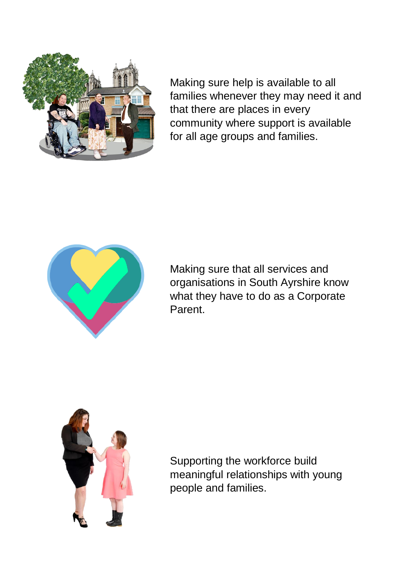

Making sure help is available to all families whenever they may need it and that there are places in every community where support is available for all age groups and families.



Making sure that all services and organisations in South Ayrshire know what they have to do as a Corporate Parent.



Supporting the workforce build meaningful relationships with young people and families.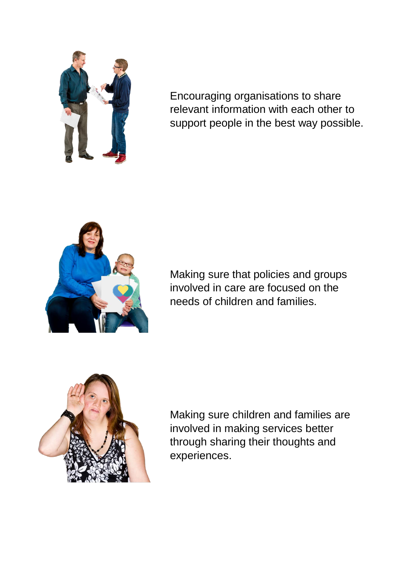

Encouraging organisations to share relevant information with each other to support people in the best way possible.



Making sure that policies and groups involved in care are focused on the needs of children and families.



Making sure children and families are involved in making services better through sharing their thoughts and experiences.